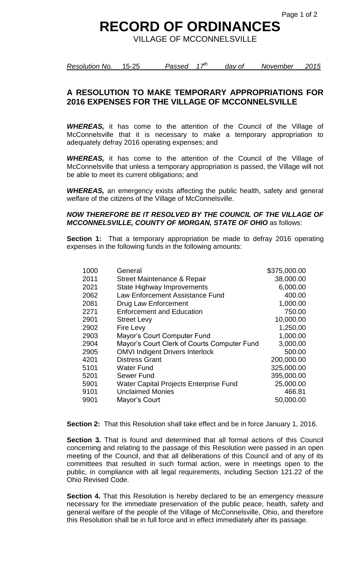## **RECORD OF ORDINANCES**

VILLAGE OF MCCONNELSVILLE

*Resolution No.* 15-25 *Passed 17th day of November 2015*

## **A RESOLUTION TO MAKE TEMPORARY APPROPRIATIONS FOR 2016 EXPENSES FOR THE VILLAGE OF MCCONNELSVILLE**

*WHEREAS,* it has come to the attention of the Council of the Village of McConnelsville that it is necessary to make a temporary appropriation to adequately defray 2016 operating expenses; and

*WHEREAS,* it has come to the attention of the Council of the Village of McConnelsville that unless a temporary appropriation is passed, the Village will not be able to meet its current obligations; and

*WHEREAS,* an emergency exists affecting the public health, safety and general welfare of the citizens of the Village of McConnelsville.

## *NOW THEREFORE BE IT RESOLVED BY THE COUNCIL OF THE VILLAGE OF MCCONNELSVILLE, COUNTY OF MORGAN, STATE OF OHIO* as follows:

**Section 1:** That a temporary appropriation be made to defray 2016 operating expenses in the following funds in the following amounts:

| 1000 | General                                       | \$375,000.00 |
|------|-----------------------------------------------|--------------|
| 2011 | Street Maintenance & Repair                   | 38,000.00    |
| 2021 | State Highway Improvements                    | 6,000.00     |
| 2062 | Law Enforcement Assistance Fund               | 400.00       |
| 2081 | Drug Law Enforcement                          | 1,000.00     |
| 2271 | <b>Enforcement and Education</b>              | 750.00       |
| 2901 | <b>Street Levy</b>                            | 10,000.00    |
| 2902 | Fire Levy                                     | 1,250.00     |
| 2903 | Mayor's Court Computer Fund                   | 1,000.00     |
| 2904 | Mayor's Court Clerk of Courts Computer Fund   | 3,000.00     |
| 2905 | <b>OMVI Indigent Drivers Interlock</b>        | 500.00       |
| 4201 | <b>Distress Grant</b>                         | 200,000.00   |
| 5101 | <b>Water Fund</b>                             | 325,000.00   |
| 5201 | Sewer Fund                                    | 395,000.00   |
| 5901 | <b>Water Capital Projects Enterprise Fund</b> | 25,000.00    |
| 9101 | <b>Unclaimed Monies</b>                       | 466.81       |
| 9901 | Mayor's Court                                 | 50,000.00    |
|      |                                               |              |

**Section 2:** That this Resolution shall take effect and be in force January 1, 2016.

**Section 3.** That is found and determined that all formal actions of this Council concerning and relating to the passage of this Resolution were passed in an open meeting of the Council, and that all deliberations of this Council and of any of its committees that resulted in such formal action, were in meetings open to the public, in compliance with all legal requirements, including Section 121.22 of the Ohio Revised Code.

**Section 4.** That this Resolution is hereby declared to be an emergency measure necessary for the immediate preservation of the public peace, health, safety and general welfare of the people of the Village of McConnelsville, Ohio, and therefore this Resolution shall be in full force and in effect immediately after its passage.